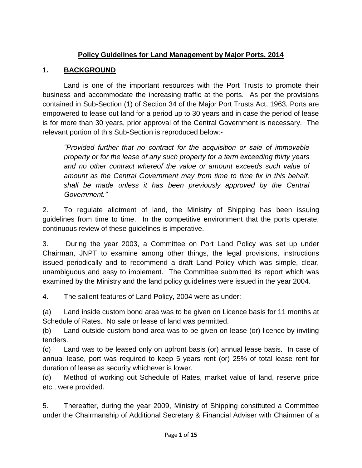# **Policy Guidelines for Land Management by Major Ports, 2014**

#### 1**. BACKGROUND**

Land is one of the important resources with the Port Trusts to promote their business and accommodate the increasing traffic at the ports. As per the provisions contained in Sub-Section (1) of Section 34 of the Major Port Trusts Act, 1963, Ports are empowered to lease out land for a period up to 30 years and in case the period of lease is for more than 30 years, prior approval of the Central Government is necessary. The relevant portion of this Sub-Section is reproduced below:-

*"Provided further that no contract for the acquisition or sale of immovable property or for the lease of any such property for a term exceeding thirty years and no other contract whereof the value or amount exceeds such value of amount as the Central Government may from time to time fix in this behalf, shall be made unless it has been previously approved by the Central Government."* 

2. To regulate allotment of land, the Ministry of Shipping has been issuing guidelines from time to time. In the competitive environment that the ports operate, continuous review of these guidelines is imperative.

3. During the year 2003, a Committee on Port Land Policy was set up under Chairman, JNPT to examine among other things, the legal provisions, instructions issued periodically and to recommend a draft Land Policy which was simple, clear, unambiguous and easy to implement. The Committee submitted its report which was examined by the Ministry and the land policy guidelines were issued in the year 2004.

4. The salient features of Land Policy, 2004 were as under:-

(a) Land inside custom bond area was to be given on Licence basis for 11 months at Schedule of Rates. No sale or lease of land was permitted.

(b) Land outside custom bond area was to be given on lease (or) licence by inviting tenders.

(c) Land was to be leased only on upfront basis (or) annual lease basis. In case of annual lease, port was required to keep 5 years rent (or) 25% of total lease rent for duration of lease as security whichever is lower.

(d) Method of working out Schedule of Rates, market value of land, reserve price etc., were provided.

5. Thereafter, during the year 2009, Ministry of Shipping constituted a Committee under the Chairmanship of Additional Secretary & Financial Adviser with Chairmen of a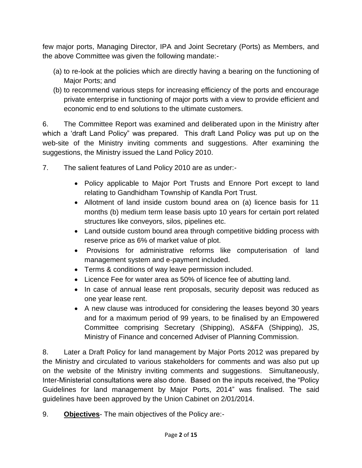few major ports, Managing Director, IPA and Joint Secretary (Ports) as Members, and the above Committee was given the following mandate:-

- (a) to re-look at the policies which are directly having a bearing on the functioning of Major Ports; and
- (b) to recommend various steps for increasing efficiency of the ports and encourage private enterprise in functioning of major ports with a view to provide efficient and economic end to end solutions to the ultimate customers.

6. The Committee Report was examined and deliberated upon in the Ministry after which a 'draft Land Policy" was prepared. This draft Land Policy was put up on the web-site of the Ministry inviting comments and suggestions. After examining the suggestions, the Ministry issued the Land Policy 2010.

- 7. The salient features of Land Policy 2010 are as under:-
	- Policy applicable to Major Port Trusts and Ennore Port except to land relating to Gandhidham Township of Kandla Port Trust.
	- Allotment of land inside custom bound area on (a) licence basis for 11 months (b) medium term lease basis upto 10 years for certain port related structures like conveyors, silos, pipelines etc.
	- Land outside custom bound area through competitive bidding process with reserve price as 6% of market value of plot.
	- Provisions for administrative reforms like computerisation of land management system and e-payment included.
	- Terms & conditions of way leave permission included.
	- Licence Fee for water area as 50% of licence fee of abutting land.
	- In case of annual lease rent proposals, security deposit was reduced as one year lease rent.
	- A new clause was introduced for considering the leases beyond 30 years and for a maximum period of 99 years, to be finalised by an Empowered Committee comprising Secretary (Shipping), AS&FA (Shipping), JS, Ministry of Finance and concerned Adviser of Planning Commission.

8. Later a Draft Policy for land management by Major Ports 2012 was prepared by the Ministry and circulated to various stakeholders for comments and was also put up on the website of the Ministry inviting comments and suggestions. Simultaneously, Inter-Ministerial consultations were also done. Based on the inputs received, the "Policy Guidelines for land management by Major Ports, 2014" was finalised. The said guidelines have been approved by the Union Cabinet on 2/01/2014.

9. **Objectives**- The main objectives of the Policy are:-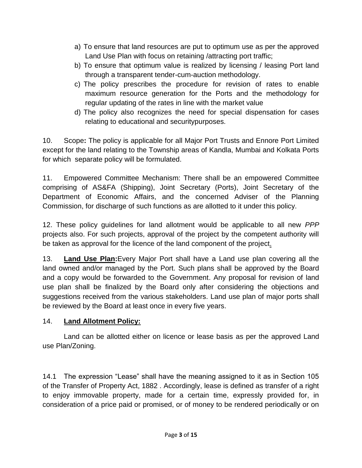- a) To ensure that land resources are put to optimum use as per the approved Land Use Plan with focus on retaining /attracting port traffic;
- b) To ensure that optimum value is realized by licensing / leasing Port land through a transparent tender-cum-auction methodology.
- c) The policy prescribes the procedure for revision of rates to enable maximum resource generation for the Ports and the methodology for regular updating of the rates in line with the market value
- d) The policy also recognizes the need for special dispensation for cases relating to educational and securitypurposes.

10. Scope**:** The policy is applicable for all Major Port Trusts and Ennore Port Limited except for the land relating to the Township areas of Kandla, Mumbai and Kolkata Ports for which separate policy will be formulated.

11. Empowered Committee Mechanism: There shall be an empowered Committee comprising of AS&FA (Shipping), Joint Secretary (Ports), Joint Secretary of the Department of Economic Affairs, and the concerned Adviser of the Planning Commission, for discharge of such functions as are allotted to it under this policy.

12. These policy guidelines for land allotment would be applicable to all new *PPP* projects also. For such projects, approval of the project by the competent authority will be taken as approval for the licence of the land component of the project.

13. **Land Use Plan:**Every Major Port shall have a Land use plan covering all the land owned and/or managed by the Port. Such plans shall be approved by the Board and a copy would be forwarded to the Government. Any proposal for revision of land use plan shall be finalized by the Board only after considering the objections and suggestions received from the various stakeholders. Land use plan of major ports shall be reviewed by the Board at least once in every five years.

#### 14. **Land Allotment Policy:**

Land can be allotted either on licence or lease basis as per the approved Land use Plan/Zoning.

14.1 The expression "Lease" shall have the meaning assigned to it as in Section 105 of the Transfer of Property Act, 1882 . Accordingly, lease is defined as transfer of a right to enjoy immovable property, made for a certain time, expressly provided for, in consideration of a price paid or promised, or of money to be rendered periodically or on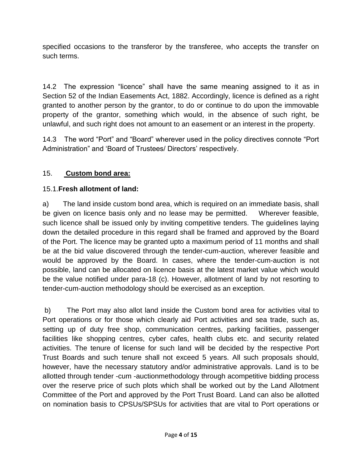specified occasions to the transferor by the transferee, who accepts the transfer on such terms.

14.2 The expression "licence" shall have the same meaning assigned to it as in Section 52 of the Indian Easements Act, 1882. Accordingly, licence is defined as a right granted to another person by the grantor, to do or continue to do upon the immovable property of the grantor, something which would, in the absence of such right, be unlawful, and such right does not amount to an easement or an interest in the property.

14.3 The word "Port" and "Board" wherever used in the policy directives connote "Port Administration" and 'Board of Trustees/ Directors' respectively.

### 15. **Custom bond area:**

### 15.1.**Fresh allotment of land:**

a) The land inside custom bond area, which is required on an immediate basis, shall be given on licence basis only and no lease may be permitted. Wherever feasible, such licence shall be issued only by inviting competitive tenders. The guidelines laying down the detailed procedure in this regard shall be framed and approved by the Board of the Port. The licence may be granted upto a maximum period of 11 months and shall be at the bid value discovered through the tender-cum-auction, wherever feasible and would be approved by the Board. In cases, where the tender-cum-auction is not possible, land can be allocated on licence basis at the latest market value which would be the value notified under para-18 (c). However, allotment of land by not resorting to tender-cum-auction methodology should be exercised as an exception.

b) The Port may also allot land inside the Custom bond area for activities vital to Port operations or for those which clearly aid Port activities and sea trade, such as, setting up of duty free shop, communication centres, parking facilities, passenger facilities like shopping centres, cyber cafes, health clubs etc. and security related activities. The tenure of license for such land will be decided by the respective Port Trust Boards and such tenure shall not exceed 5 years. All such proposals should, however, have the necessary statutory and/or administrative approvals. Land is to be allotted through tender -cum -auctionmethodology through acompetitive bidding process over the reserve price of such plots which shall be worked out by the Land Allotment Committee of the Port and approved by the Port Trust Board. Land can also be allotted on nomination basis to CPSUs/SPSUs for activities that are vital to Port operations or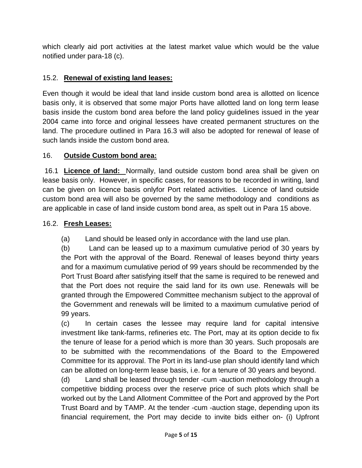which clearly aid port activities at the latest market value which would be the value notified under para-18 (c).

### 15.2. **Renewal of existing land leases:**

Even though it would be ideal that land inside custom bond area is allotted on licence basis only, it is observed that some major Ports have allotted land on long term lease basis inside the custom bond area before the land policy guidelines issued in the year 2004 came into force and original lessees have created permanent structures on the land. The procedure outlined in Para 16.3 will also be adopted for renewal of lease of such lands inside the custom bond area.

#### 16. **Outside Custom bond area:**

16.1 **Licence of land:** Normally, land outside custom bond area shall be given on lease basis only. However, in specific cases, for reasons to be recorded in writing, land can be given on licence basis onlyfor Port related activities. Licence of land outside custom bond area will also be governed by the same methodology and conditions as are applicable in case of land inside custom bond area, as spelt out in Para 15 above.

#### 16.2. **Fresh Leases:**

(a) Land should be leased only in accordance with the land use plan.

(b) Land can be leased up to a maximum cumulative period of 30 years by the Port with the approval of the Board. Renewal of leases beyond thirty years and for a maximum cumulative period of 99 years should be recommended by the Port Trust Board after satisfying itself that the same is required to be renewed and that the Port does not require the said land for its own use. Renewals will be granted through the Empowered Committee mechanism subject to the approval of the Government and renewals will be limited to a maximum cumulative period of 99 years.

(c) In certain cases the lessee may require land for capital intensive investment like tank-farms, refineries etc. The Port, may at its option decide to fix the tenure of lease for a period which is more than 30 years. Such proposals are to be submitted with the recommendations of the Board to the Empowered Committee for its approval. The Port in its land-use plan should identify land which can be allotted on long-term lease basis, i.e. for a tenure of 30 years and beyond.

(d) Land shall be leased through tender -cum -auction methodology through a competitive bidding process over the reserve price of such plots which shall be worked out by the Land Allotment Committee of the Port and approved by the Port Trust Board and by TAMP. At the tender -cum -auction stage, depending upon its financial requirement, the Port may decide to invite bids either on- (i) Upfront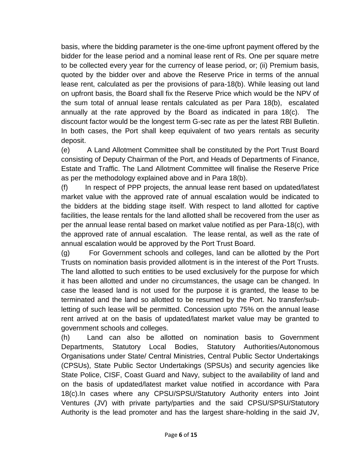basis, where the bidding parameter is the one-time upfront payment offered by the bidder for the lease period and a nominal lease rent of Rs. One per square metre to be collected every year for the currency of lease period, or; (ii) Premium basis, quoted by the bidder over and above the Reserve Price in terms of the annual lease rent, calculated as per the provisions of para-18(b). While leasing out land on upfront basis, the Board shall fix the Reserve Price which would be the NPV of the sum total of annual lease rentals calculated as per Para 18(b), escalated annually at the rate approved by the Board as indicated in para 18(c). The discount factor would be the longest term G-sec rate as per the latest RBI Bulletin. In both cases, the Port shall keep equivalent of two years rentals as security deposit.

(e) A Land Allotment Committee shall be constituted by the Port Trust Board consisting of Deputy Chairman of the Port, and Heads of Departments of Finance, Estate and Traffic. The Land Allotment Committee will finalise the Reserve Price as per the methodology explained above and in Para 18(b).

(f) In respect of PPP projects, the annual lease rent based on updated/latest market value with the approved rate of annual escalation would be indicated to the bidders at the bidding stage itself. With respect to land allotted for captive facilities, the lease rentals for the land allotted shall be recovered from the user as per the annual lease rental based on market value notified as per Para-18(c), with the approved rate of annual escalation. The lease rental, as well as the rate of annual escalation would be approved by the Port Trust Board.

(g) For Government schools and colleges, land can be allotted by the Port Trusts on nomination basis provided allotment is in the interest of the Port Trusts. The land allotted to such entities to be used exclusively for the purpose for which it has been allotted and under no circumstances, the usage can be changed. In case the leased land is not used for the purpose it is granted, the lease to be terminated and the land so allotted to be resumed by the Port. No transfer/subletting of such lease will be permitted. Concession upto 75% on the annual lease rent arrived at on the basis of updated/latest market value may be granted to government schools and colleges.

(h) Land can also be allotted on nomination basis to Government Departments, Statutory Local Bodies, Statutory Authorities/Autonomous Organisations under State/ Central Ministries, Central Public Sector Undertakings (CPSUs), State Public Sector Undertakings (SPSUs) and security agencies like State Police, CISF, Coast Guard and Navy, subject to the availability of land and on the basis of updated/latest market value notified in accordance with Para 18(c).In cases where any CPSU/SPSU/Statutory Authority enters into Joint Ventures (JV) with private party/parties and the said CPSU/SPSU/Statutory Authority is the lead promoter and has the largest share-holding in the said JV,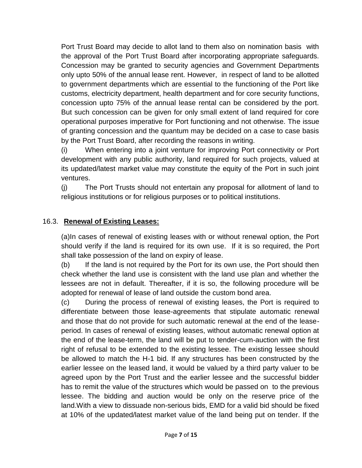Port Trust Board may decide to allot land to them also on nomination basis with the approval of the Port Trust Board after incorporating appropriate safeguards. Concession may be granted to security agencies and Government Departments only upto 50% of the annual lease rent. However, in respect of land to be allotted to government departments which are essential to the functioning of the Port like customs, electricity department, health department and for core security functions, concession upto 75% of the annual lease rental can be considered by the port. But such concession can be given for only small extent of land required for core operational purposes imperative for Port functioning and not otherwise. The issue of granting concession and the quantum may be decided on a case to case basis by the Port Trust Board, after recording the reasons in writing.

(i) When entering into a joint venture for improving Port connectivity or Port development with any public authority, land required for such projects, valued at its updated/latest market value may constitute the equity of the Port in such joint ventures.

(j) The Port Trusts should not entertain any proposal for allotment of land to religious institutions or for religious purposes or to political institutions.

#### 16.3. **Renewal of Existing Leases:**

(a)In cases of renewal of existing leases with or without renewal option, the Port should verify if the land is required for its own use. If it is so required, the Port shall take possession of the land on expiry of lease.

(b) If the land is not required by the Port for its own use, the Port should then check whether the land use is consistent with the land use plan and whether the lessees are not in default. Thereafter, if it is so, the following procedure will be adopted for renewal of lease of land outside the custom bond area.

(c) During the process of renewal of existing leases, the Port is required to differentiate between those lease-agreements that stipulate automatic renewal and those that do not provide for such automatic renewal at the end of the leaseperiod. In cases of renewal of existing leases, without automatic renewal option at the end of the lease-term, the land will be put to tender-cum-auction with the first right of refusal to be extended to the existing lessee. The existing lessee should be allowed to match the H-1 bid. If any structures has been constructed by the earlier lessee on the leased land, it would be valued by a third party valuer to be agreed upon by the Port Trust and the earlier lessee and the successful bidder has to remit the value of the structures which would be passed on to the previous lessee. The bidding and auction would be only on the reserve price of the land.With a view to dissuade non-serious bids, EMD for a valid bid should be fixed at 10% of the updated/latest market value of the land being put on tender. If the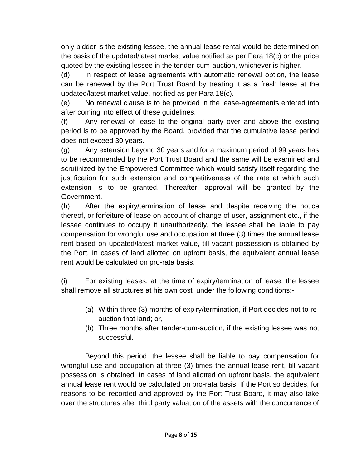only bidder is the existing lessee, the annual lease rental would be determined on the basis of the updated/latest market value notified as per Para 18(c) or the price quoted by the existing lessee in the tender-cum-auction, whichever is higher.

(d) In respect of lease agreements with automatic renewal option, the lease can be renewed by the Port Trust Board by treating it as a fresh lease at the updated/latest market value, notified as per Para 18(c).

(e) No renewal clause is to be provided in the lease-agreements entered into after coming into effect of these guidelines.

(f) Any renewal of lease to the original party over and above the existing period is to be approved by the Board, provided that the cumulative lease period does not exceed 30 years.

(g) Any extension beyond 30 years and for a maximum period of 99 years has to be recommended by the Port Trust Board and the same will be examined and scrutinized by the Empowered Committee which would satisfy itself regarding the justification for such extension and competitiveness of the rate at which such extension is to be granted. Thereafter, approval will be granted by the Government.

(h) After the expiry/termination of lease and despite receiving the notice thereof, or forfeiture of lease on account of change of user, assignment etc., if the lessee continues to occupy it unauthorizedly, the lessee shall be liable to pay compensation for wrongful use and occupation at three (3) times the annual lease rent based on updated/latest market value, till vacant possession is obtained by the Port. In cases of land allotted on upfront basis, the equivalent annual lease rent would be calculated on pro-rata basis.

(i) For existing leases, at the time of expiry/termination of lease, the lessee shall remove all structures at his own cost under the following conditions:-

- (a) Within three (3) months of expiry/termination, if Port decides not to reauction that land; or,
- (b) Three months after tender-cum-auction, if the existing lessee was not successful.

Beyond this period, the lessee shall be liable to pay compensation for wrongful use and occupation at three (3) times the annual lease rent, till vacant possession is obtained. In cases of land allotted on upfront basis, the equivalent annual lease rent would be calculated on pro-rata basis. If the Port so decides, for reasons to be recorded and approved by the Port Trust Board, it may also take over the structures after third party valuation of the assets with the concurrence of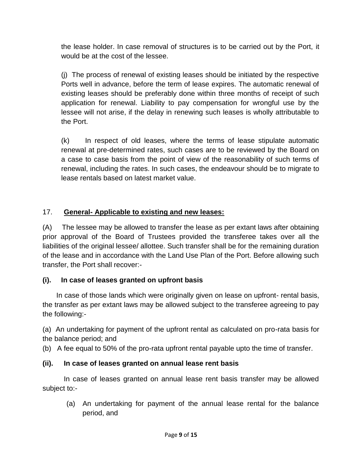the lease holder. In case removal of structures is to be carried out by the Port, it would be at the cost of the lessee.

(j) The process of renewal of existing leases should be initiated by the respective Ports well in advance, before the term of lease expires. The automatic renewal of existing leases should be preferably done within three months of receipt of such application for renewal. Liability to pay compensation for wrongful use by the lessee will not arise, if the delay in renewing such leases is wholly attributable to the Port.

(k) In respect of old leases, where the terms of lease stipulate automatic renewal at pre-determined rates, such cases are to be reviewed by the Board on a case to case basis from the point of view of the reasonability of such terms of renewal, including the rates. In such cases, the endeavour should be to migrate to lease rentals based on latest market value.

# 17. **General- Applicable to existing and new leases:**

(A) The lessee may be allowed to transfer the lease as per extant laws after obtaining prior approval of the Board of Trustees provided the transferee takes over all the liabilities of the original lessee/ allottee. Such transfer shall be for the remaining duration of the lease and in accordance with the Land Use Plan of the Port. Before allowing such transfer, the Port shall recover:-

# **(i). In case of leases granted on upfront basis**

 In case of those lands which were originally given on lease on upfront- rental basis, the transfer as per extant laws may be allowed subject to the transferee agreeing to pay the following:-

(a) An undertaking for payment of the upfront rental as calculated on pro-rata basis for the balance period; and

(b) A fee equal to 50% of the pro-rata upfront rental payable upto the time of transfer.

# **(ii). In case of leases granted on annual lease rent basis**

In case of leases granted on annual lease rent basis transfer may be allowed subject to:-

(a) An undertaking for payment of the annual lease rental for the balance period, and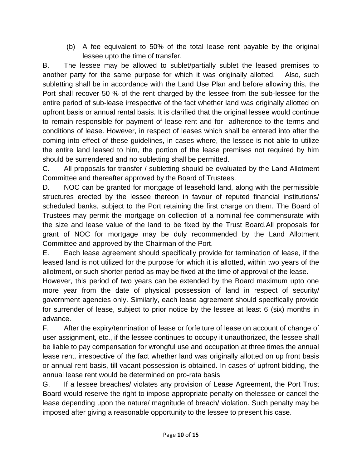(b) A fee equivalent to 50% of the total lease rent payable by the original lessee upto the time of transfer.

B. The lessee may be allowed to sublet/partially sublet the leased premises to another party for the same purpose for which it was originally allotted. Also, such subletting shall be in accordance with the Land Use Plan and before allowing this, the Port shall recover 50 % of the rent charged by the lessee from the sub-lessee for the entire period of sub-lease irrespective of the fact whether land was originally allotted on upfront basis or annual rental basis. It is clarified that the original lessee would continue to remain responsible for payment of lease rent and for adherence to the terms and conditions of lease. However, in respect of leases which shall be entered into after the coming into effect of these guidelines, in cases where, the lessee is not able to utilize the entire land leased to him, the portion of the lease premises not required by him should be surrendered and no subletting shall be permitted.

C. All proposals for transfer / subletting should be evaluated by the Land Allotment Committee and thereafter approved by the Board of Trustees.

D. NOC can be granted for mortgage of leasehold land, along with the permissible structures erected by the lessee thereon in favour of reputed financial institutions/ scheduled banks, subject to the Port retaining the first charge on them. The Board of Trustees may permit the mortgage on collection of a nominal fee commensurate with the size and lease value of the land to be fixed by the Trust Board.All proposals for grant of NOC for mortgage may be duly recommended by the Land Allotment Committee and approved by the Chairman of the Port.

E. Each lease agreement should specifically provide for termination of lease, if the leased land is not utilized for the purpose for which it is allotted, within two years of the allotment, or such shorter period as may be fixed at the time of approval of the lease.

However, this period of two years can be extended by the Board maximum upto one more year from the date of physical possession of land in respect of security/ government agencies only. Similarly, each lease agreement should specifically provide for surrender of lease, subject to prior notice by the lessee at least 6 (six) months in advance.

F. After the expiry/termination of lease or forfeiture of lease on account of change of user assignment, etc., if the lessee continues to occupy it unauthorized, the lessee shall be liable to pay compensation for wrongful use and occupation at three times the annual lease rent, irrespective of the fact whether land was originally allotted on up front basis or annual rent basis, till vacant possession is obtained. In cases of upfront bidding, the annual lease rent would be determined on pro-rata basis

G. If a lessee breaches/ violates any provision of Lease Agreement, the Port Trust Board would reserve the right to impose appropriate penalty on thelessee or cancel the lease depending upon the nature/ magnitude of breach/ violation. Such penalty may be imposed after giving a reasonable opportunity to the lessee to present his case.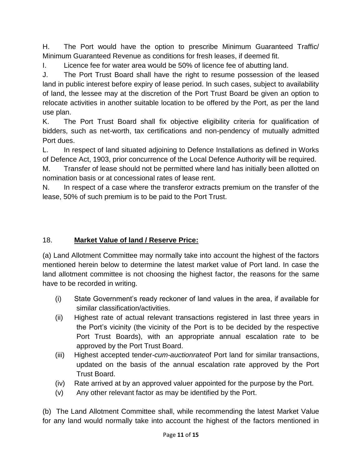H. The Port would have the option to prescribe Minimum Guaranteed Traffic/ Minimum Guaranteed Revenue as conditions for fresh leases, if deemed fit.

I. Licence fee for water area would be 50% of licence fee of abutting land.

J. The Port Trust Board shall have the right to resume possession of the leased land in public interest before expiry of lease period. In such cases, subject to availability of land, the lessee may at the discretion of the Port Trust Board be given an option to relocate activities in another suitable location to be offered by the Port, as per the land use plan.

K. The Port Trust Board shall fix objective eligibility criteria for qualification of bidders, such as net-worth, tax certifications and non-pendency of mutually admitted Port dues.

L. In respect of land situated adjoining to Defence Installations as defined in Works of Defence Act, 1903, prior concurrence of the Local Defence Authority will be required.

M. Transfer of lease should not be permitted where land has initially been allotted on nomination basis or at concessional rates of lease rent.

N. In respect of a case where the transferor extracts premium on the transfer of the lease, 50% of such premium is to be paid to the Port Trust.

# 18. **Market Value of land / Reserve Price:**

(a) Land Allotment Committee may normally take into account the highest of the factors mentioned herein below to determine the latest market value of Port land. In case the land allotment committee is not choosing the highest factor, the reasons for the same have to be recorded in writing.

- (i) State Government's ready reckoner of land values in the area, if available for similar classification/activities.
- (ii) Highest rate of actual relevant transactions registered in last three years in the Port's vicinity (the vicinity of the Port is to be decided by the respective Port Trust Boards), with an appropriate annual escalation rate to be approved by the Port Trust Board.
- (iii) Highest accepted tender-*cum-auctionrate*of Port land for similar transactions, updated on the basis of the annual escalation rate approved by the Port Trust Board.
- (iv) Rate arrived at by an approved valuer appointed for the purpose by the Port.
- (v) Any other relevant factor as may be identified by the Port.

(b) The Land Allotment Committee shall, while recommending the latest Market Value for any land would normally take into account the highest of the factors mentioned in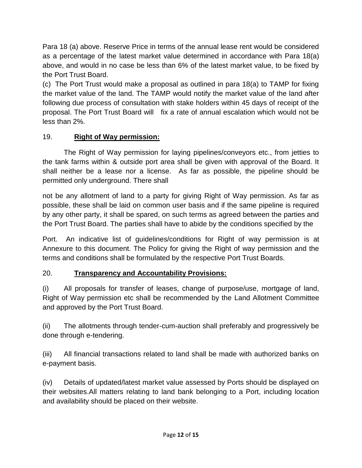Para 18 (a) above. Reserve Price in terms of the annual lease rent would be considered as a percentage of the latest market value determined in accordance with Para 18(a) above, and would in no case be less than 6% of the latest market value, to be fixed by the Port Trust Board.

(c) The Port Trust would make a proposal as outlined in para 18(a) to TAMP for fixing the market value of the land. The TAMP would notify the market value of the land after following due process of consultation with stake holders within 45 days of receipt of the proposal. The Port Trust Board will fix a rate of annual escalation which would not be less than 2%.

### 19. **Right of Way permission:**

The Right of Way permission for laying pipelines/conveyors etc., from jetties to the tank farms within & outside port area shall be given with approval of the Board. It shall neither be a lease nor a license. As far as possible, the pipeline should be permitted only underground. There shall

not be any allotment of land to a party for giving Right of Way permission. As far as possible, these shall be laid on common user basis and if the same pipeline is required by any other party, it shall be spared, on such terms as agreed between the parties and the Port Trust Board. The parties shall have to abide by the conditions specified by the

Port. An indicative list of guidelines/conditions for Right of way permission is at Annexure to this document. The Policy for giving the Right of way permission and the terms and conditions shall be formulated by the respective Port Trust Boards.

# 20. **Transparency and Accountability Provisions:**

(i) All proposals for transfer of leases, change of purpose/use, mortgage of land, Right of Way permission etc shall be recommended by the Land Allotment Committee and approved by the Port Trust Board.

(ii) The allotments through tender-cum-auction shall preferably and progressively be done through e-tendering.

(iii) All financial transactions related to land shall be made with authorized banks on e-payment basis.

(iv) Details of updated/latest market value assessed by Ports should be displayed on their websites.All matters relating to land bank belonging to a Port, including location and availability should be placed on their website.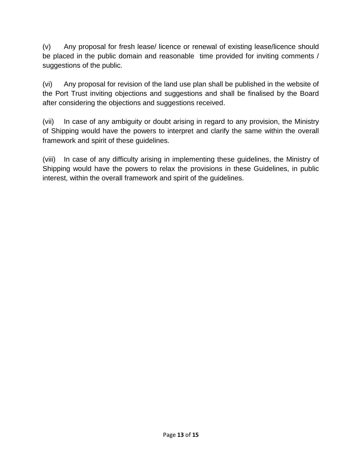(v) Any proposal for fresh lease/ licence or renewal of existing lease/licence should be placed in the public domain and reasonable time provided for inviting comments / suggestions of the public.

(vi) Any proposal for revision of the land use plan shall be published in the website of the Port Trust inviting objections and suggestions and shall be finalised by the Board after considering the objections and suggestions received.

(vii) In case of any ambiguity or doubt arising in regard to any provision, the Ministry of Shipping would have the powers to interpret and clarify the same within the overall framework and spirit of these guidelines.

(viii) In case of any difficulty arising in implementing these guidelines, the Ministry of Shipping would have the powers to relax the provisions in these Guidelines, in public interest, within the overall framework and spirit of the guidelines.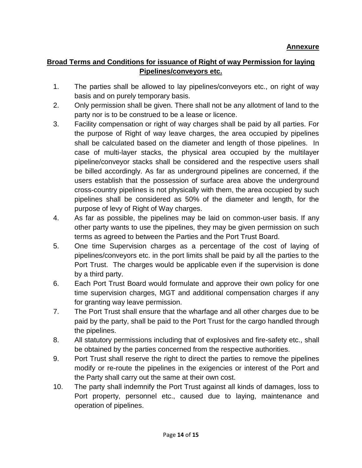#### **Broad Terms and Conditions for issuance of Right of way Permission for laying Pipelines/conveyors etc.**

- 1. The parties shall be allowed to lay pipelines/conveyors etc., on right of way basis and on purely temporary basis.
- 2. Only permission shall be given. There shall not be any allotment of land to the party nor is to be construed to be a lease or licence.
- 3. Facility compensation or right of way charges shall be paid by all parties. For the purpose of Right of way leave charges, the area occupied by pipelines shall be calculated based on the diameter and length of those pipelines. In case of multi-layer stacks, the physical area occupied by the multilayer pipeline/conveyor stacks shall be considered and the respective users shall be billed accordingly. As far as underground pipelines are concerned, if the users establish that the possession of surface area above the underground cross-country pipelines is not physically with them, the area occupied by such pipelines shall be considered as 50% of the diameter and length, for the purpose of levy of Right of Way charges.
- 4. As far as possible, the pipelines may be laid on common-user basis. If any other party wants to use the pipelines, they may be given permission on such terms as agreed to between the Parties and the Port Trust Board.
- 5. One time Supervision charges as a percentage of the cost of laying of pipelines/conveyors etc. in the port limits shall be paid by all the parties to the Port Trust. The charges would be applicable even if the supervision is done by a third party.
- 6. Each Port Trust Board would formulate and approve their own policy for one time supervision charges, MGT and additional compensation charges if any for granting way leave permission.
- 7. The Port Trust shall ensure that the wharfage and all other charges due to be paid by the party, shall be paid to the Port Trust for the cargo handled through the pipelines.
- 8. All statutory permissions including that of explosives and fire-safety etc., shall be obtained by the parties concerned from the respective authorities.
- 9. Port Trust shall reserve the right to direct the parties to remove the pipelines modify or re-route the pipelines in the exigencies or interest of the Port and the Party shall carry out the same at their own cost.
- 10. The party shall indemnify the Port Trust against all kinds of damages, loss to Port property, personnel etc., caused due to laying, maintenance and operation of pipelines.